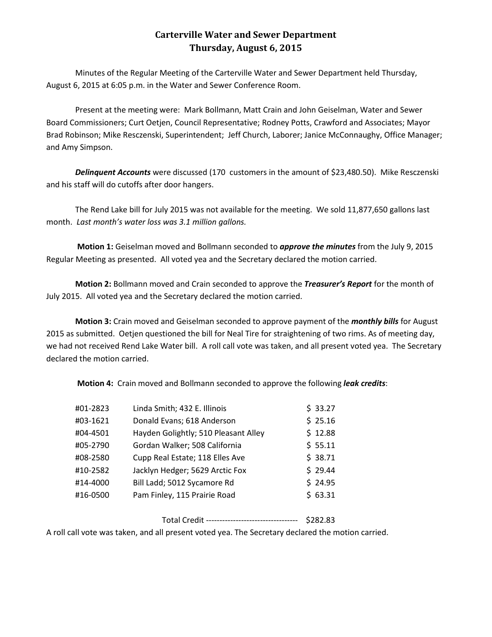## **Carterville Water and Sewer Department Thursday, August 6, 2015**

Minutes of the Regular Meeting of the Carterville Water and Sewer Department held Thursday, August 6, 2015 at 6:05 p.m. in the Water and Sewer Conference Room.

Present at the meeting were: Mark Bollmann, Matt Crain and John Geiselman, Water and Sewer Board Commissioners; Curt Oetjen, Council Representative; Rodney Potts, Crawford and Associates; Mayor Brad Robinson; Mike Resczenski, Superintendent; Jeff Church, Laborer; Janice McConnaughy, Office Manager; and Amy Simpson.

**Delinquent Accounts** were discussed (170 customers in the amount of \$23,480.50). Mike Resczenski and his staff will do cutoffs after door hangers.

The Rend Lake bill for July 2015 was not available for the meeting. We sold 11,877,650 gallons last month. *Last month's water loss was 3.1 million gallons.*

**Motion 1:** Geiselman moved and Bollmann seconded to *approve the minutes* from the July 9, 2015 Regular Meeting as presented. All voted yea and the Secretary declared the motion carried.

**Motion 2:** Bollmann moved and Crain seconded to approve the *Treasurer's Report* for the month of July 2015. All voted yea and the Secretary declared the motion carried.

**Motion 3:** Crain moved and Geiselman seconded to approve payment of the *monthly bills* for August 2015 as submitted. Oetjen questioned the bill for Neal Tire for straightening of two rims. As of meeting day, we had not received Rend Lake Water bill. A roll call vote was taken, and all present voted yea. The Secretary declared the motion carried.

**Motion 4:** Crain moved and Bollmann seconded to approve the following *leak credits*:

| #01-2823 | Linda Smith; 432 E. Illinois         | \$33.27 |
|----------|--------------------------------------|---------|
| #03-1621 | Donald Evans; 618 Anderson           | \$25.16 |
| #04-4501 | Hayden Golightly; 510 Pleasant Alley | \$12.88 |
| #05-2790 | Gordan Walker; 508 California        | \$55.11 |
| #08-2580 | Cupp Real Estate; 118 Elles Ave      | \$38.71 |
| #10-2582 | Jacklyn Hedger; 5629 Arctic Fox      | \$29.44 |
| #14-4000 | Bill Ladd; 5012 Sycamore Rd          | \$24.95 |
| #16-0500 | Pam Finley, 115 Prairie Road         | \$63.31 |
|          |                                      |         |

Total Credit ---------------------------------- \$282.83

A roll call vote was taken, and all present voted yea. The Secretary declared the motion carried.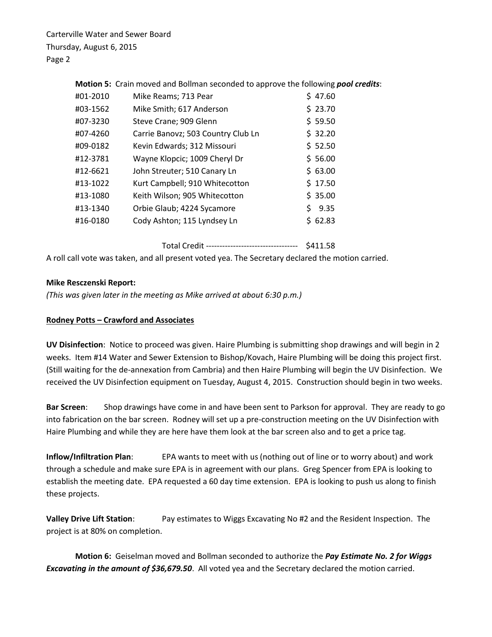Carterville Water and Sewer Board Thursday, August 6, 2015 Page 2

|          | <b>Notion 5:</b> Crain moved and Boliman seconded to approve the following <i>pool cred</i> |             |
|----------|---------------------------------------------------------------------------------------------|-------------|
| #01-2010 | Mike Reams; 713 Pear                                                                        | \$47.60     |
| #03-1562 | Mike Smith; 617 Anderson                                                                    | \$23.70     |
| #07-3230 | Steve Crane; 909 Glenn                                                                      | \$59.50     |
| #07-4260 | Carrie Banovz; 503 Country Club Ln                                                          | \$32.20     |
| #09-0182 | Kevin Edwards; 312 Missouri                                                                 | \$52.50     |
| #12-3781 | Wayne Klopcic; 1009 Cheryl Dr                                                               | \$56.00     |
| #12-6621 | John Streuter; 510 Canary Ln                                                                | \$63.00     |
| #13-1022 | Kurt Campbell; 910 Whitecotton                                                              | \$17.50     |
| #13-1080 | Keith Wilson; 905 Whitecotton                                                               | \$35.00     |
| #13-1340 | Orbie Glaub; 4224 Sycamore                                                                  | \$.<br>9.35 |
| #16-0180 | Cody Ashton; 115 Lyndsey Ln                                                                 | \$62.83     |
|          |                                                                                             |             |

**Motion 5:** Crain moved and Bollman seconded to approve the following *pool credits*:

Total Credit ---------------------------------- \$411.58

A roll call vote was taken, and all present voted yea. The Secretary declared the motion carried.

## **Mike Resczenski Report:**

*(This was given later in the meeting as Mike arrived at about 6:30 p.m.)*

## **Rodney Potts – Crawford and Associates**

**UV Disinfection**: Notice to proceed was given. Haire Plumbing is submitting shop drawings and will begin in 2 weeks. Item #14 Water and Sewer Extension to Bishop/Kovach, Haire Plumbing will be doing this project first. (Still waiting for the de-annexation from Cambria) and then Haire Plumbing will begin the UV Disinfection. We received the UV Disinfection equipment on Tuesday, August 4, 2015. Construction should begin in two weeks.

**Bar Screen**: Shop drawings have come in and have been sent to Parkson for approval. They are ready to go into fabrication on the bar screen. Rodney will set up a pre-construction meeting on the UV Disinfection with Haire Plumbing and while they are here have them look at the bar screen also and to get a price tag.

**Inflow/Infiltration Plan**: EPA wants to meet with us (nothing out of line or to worry about) and work through a schedule and make sure EPA is in agreement with our plans. Greg Spencer from EPA is looking to establish the meeting date. EPA requested a 60 day time extension. EPA is looking to push us along to finish these projects.

**Valley Drive Lift Station**: Pay estimates to Wiggs Excavating No #2 and the Resident Inspection. The project is at 80% on completion.

**Motion 6:** Geiselman moved and Bollman seconded to authorize the *Pay Estimate No. 2 for Wiggs Excavating in the amount of \$36,679.50*. All voted yea and the Secretary declared the motion carried.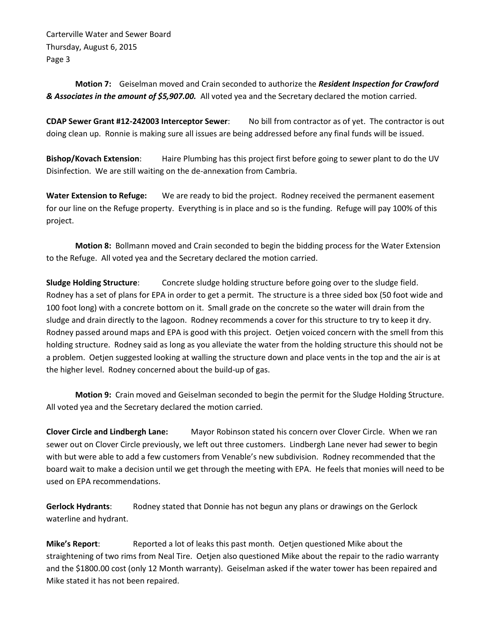Carterville Water and Sewer Board Thursday, August 6, 2015 Page 3

**Motion 7:** Geiselman moved and Crain seconded to authorize the *Resident Inspection for Crawford & Associates in the amount of \$5,907.00.* All voted yea and the Secretary declared the motion carried.

**CDAP Sewer Grant #12-242003 Interceptor Sewer**: No bill from contractor as of yet. The contractor is out doing clean up. Ronnie is making sure all issues are being addressed before any final funds will be issued.

**Bishop/Kovach Extension**: Haire Plumbing has this project first before going to sewer plant to do the UV Disinfection. We are still waiting on the de-annexation from Cambria.

**Water Extension to Refuge:** We are ready to bid the project. Rodney received the permanent easement for our line on the Refuge property. Everything is in place and so is the funding. Refuge will pay 100% of this project.

**Motion 8:** Bollmann moved and Crain seconded to begin the bidding process for the Water Extension to the Refuge. All voted yea and the Secretary declared the motion carried.

**Sludge Holding Structure**: Concrete sludge holding structure before going over to the sludge field. Rodney has a set of plans for EPA in order to get a permit. The structure is a three sided box (50 foot wide and 100 foot long) with a concrete bottom on it. Small grade on the concrete so the water will drain from the sludge and drain directly to the lagoon. Rodney recommends a cover for this structure to try to keep it dry. Rodney passed around maps and EPA is good with this project. Oetjen voiced concern with the smell from this holding structure. Rodney said as long as you alleviate the water from the holding structure this should not be a problem. Oetjen suggested looking at walling the structure down and place vents in the top and the air is at the higher level. Rodney concerned about the build-up of gas.

**Motion 9:** Crain moved and Geiselman seconded to begin the permit for the Sludge Holding Structure. All voted yea and the Secretary declared the motion carried.

**Clover Circle and Lindbergh Lane:** Mayor Robinson stated his concern over Clover Circle. When we ran sewer out on Clover Circle previously, we left out three customers. Lindbergh Lane never had sewer to begin with but were able to add a few customers from Venable's new subdivision. Rodney recommended that the board wait to make a decision until we get through the meeting with EPA. He feels that monies will need to be used on EPA recommendations.

**Gerlock Hydrants**: Rodney stated that Donnie has not begun any plans or drawings on the Gerlock waterline and hydrant.

**Mike's Report**: Reported a lot of leaks this past month. Oetjen questioned Mike about the straightening of two rims from Neal Tire. Oetjen also questioned Mike about the repair to the radio warranty and the \$1800.00 cost (only 12 Month warranty). Geiselman asked if the water tower has been repaired and Mike stated it has not been repaired.